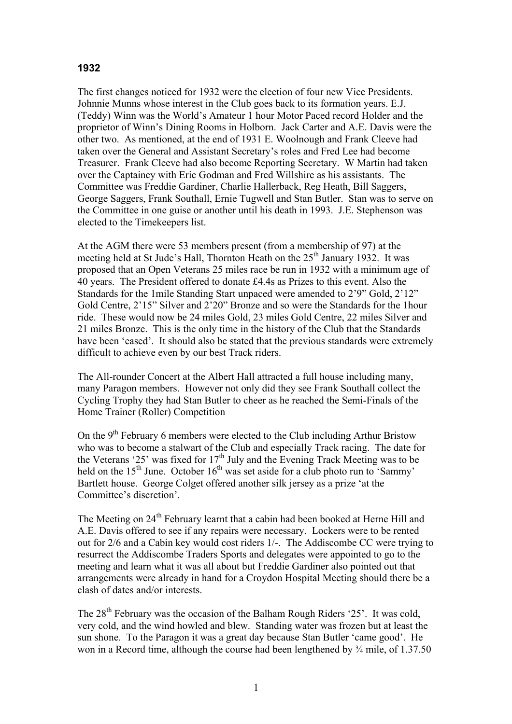## **1932**

The first changes noticed for 1932 were the election of four new Vice Presidents. Johnnie Munns whose interest in the Club goes back to its formation years. E.J. (Teddy) Winn was the World's Amateur 1 hour Motor Paced record Holder and the proprietor of Winn's Dining Rooms in Holborn. Jack Carter and A.E. Davis were the other two. As mentioned, at the end of 1931 E. Woolnough and Frank Cleeve had taken over the General and Assistant Secretary's roles and Fred Lee had become Treasurer. Frank Cleeve had also become Reporting Secretary. W Martin had taken over the Captaincy with Eric Godman and Fred Willshire as his assistants. The Committee was Freddie Gardiner, Charlie Hallerback, Reg Heath, Bill Saggers, George Saggers, Frank Southall, Ernie Tugwell and Stan Butler. Stan was to serve on the Committee in one guise or another until his death in 1993. J.E. Stephenson was elected to the Timekeepers list.

At the AGM there were 53 members present (from a membership of 97) at the meeting held at St Jude's Hall, Thornton Heath on the 25<sup>th</sup> January 1932. It was proposed that an Open Veterans 25 miles race be run in 1932 with a minimum age of 40 years. The President offered to donate £4.4s as Prizes to this event. Also the Standards for the 1mile Standing Start unpaced were amended to 2'9" Gold, 2'12" Gold Centre, 2'15" Silver and 2'20" Bronze and so were the Standards for the 1hour ride. These would now be 24 miles Gold, 23 miles Gold Centre, 22 miles Silver and 21 miles Bronze. This is the only time in the history of the Club that the Standards have been 'eased'. It should also be stated that the previous standards were extremely difficult to achieve even by our best Track riders.

The All-rounder Concert at the Albert Hall attracted a full house including many, many Paragon members. However not only did they see Frank Southall collect the Cycling Trophy they had Stan Butler to cheer as he reached the Semi-Finals of the Home Trainer (Roller) Competition

On the 9th February 6 members were elected to the Club including Arthur Bristow who was to become a stalwart of the Club and especially Track racing. The date for the Veterans '25' was fixed for  $17<sup>th</sup>$  July and the Evening Track Meeting was to be held on the  $15<sup>th</sup>$  June. October  $16<sup>th</sup>$  was set aside for a club photo run to 'Sammy' Bartlett house. George Colget offered another silk jersey as a prize 'at the Committee's discretion'.

The Meeting on 24<sup>th</sup> February learnt that a cabin had been booked at Herne Hill and A.E. Davis offered to see if any repairs were necessary. Lockers were to be rented out for 2/6 and a Cabin key would cost riders 1/-. The Addiscombe CC were trying to resurrect the Addiscombe Traders Sports and delegates were appointed to go to the meeting and learn what it was all about but Freddie Gardiner also pointed out that arrangements were already in hand for a Croydon Hospital Meeting should there be a clash of dates and/or interests.

The 28<sup>th</sup> February was the occasion of the Balham Rough Riders '25'. It was cold, very cold, and the wind howled and blew. Standing water was frozen but at least the sun shone. To the Paragon it was a great day because Stan Butler 'came good'. He won in a Record time, although the course had been lengthened by  $\frac{3}{4}$  mile, of 1.37.50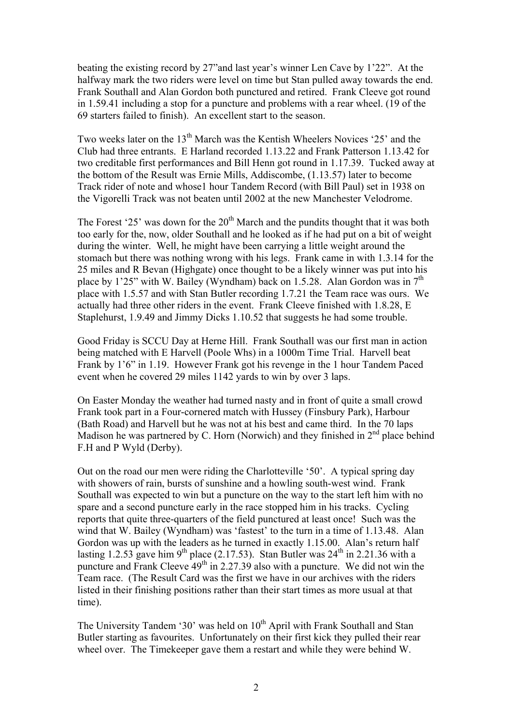beating the existing record by 27"and last year's winner Len Cave by 1'22". At the halfway mark the two riders were level on time but Stan pulled away towards the end. Frank Southall and Alan Gordon both punctured and retired. Frank Cleeve got round in 1.59.41 including a stop for a puncture and problems with a rear wheel. (19 of the 69 starters failed to finish). An excellent start to the season.

Two weeks later on the 13<sup>th</sup> March was the Kentish Wheelers Novices '25' and the Club had three entrants. E Harland recorded 1.13.22 and Frank Patterson 1.13.42 for two creditable first performances and Bill Henn got round in 1.17.39. Tucked away at the bottom of the Result was Ernie Mills, Addiscombe, (1.13.57) later to become Track rider of note and whose1 hour Tandem Record (with Bill Paul) set in 1938 on the Vigorelli Track was not beaten until 2002 at the new Manchester Velodrome.

The Forest '25' was down for the  $20<sup>th</sup>$  March and the pundits thought that it was both too early for the, now, older Southall and he looked as if he had put on a bit of weight during the winter. Well, he might have been carrying a little weight around the stomach but there was nothing wrong with his legs. Frank came in with 1.3.14 for the 25 miles and R Bevan (Highgate) once thought to be a likely winner was put into his place by 1'25" with W. Bailey (Wyndham) back on 1.5.28. Alan Gordon was in  $7<sup>th</sup>$ place with 1.5.57 and with Stan Butler recording 1.7.21 the Team race was ours. We actually had three other riders in the event. Frank Cleeve finished with 1.8.28, E Staplehurst, 1.9.49 and Jimmy Dicks 1.10.52 that suggests he had some trouble.

Good Friday is SCCU Day at Herne Hill. Frank Southall was our first man in action being matched with E Harvell (Poole Whs) in a 1000m Time Trial. Harvell beat Frank by 1'6" in 1.19. However Frank got his revenge in the 1 hour Tandem Paced event when he covered 29 miles 1142 yards to win by over 3 laps.

On Easter Monday the weather had turned nasty and in front of quite a small crowd Frank took part in a Four-cornered match with Hussey (Finsbury Park), Harbour (Bath Road) and Harvell but he was not at his best and came third. In the 70 laps Madison he was partnered by C. Horn (Norwich) and they finished in  $2<sup>nd</sup>$  place behind F.H and P Wyld (Derby).

Out on the road our men were riding the Charlotteville '50'. A typical spring day with showers of rain, bursts of sunshine and a howling south-west wind. Frank Southall was expected to win but a puncture on the way to the start left him with no spare and a second puncture early in the race stopped him in his tracks. Cycling reports that quite three-quarters of the field punctured at least once! Such was the wind that W. Bailey (Wyndham) was 'fastest' to the turn in a time of 1.13.48. Alan Gordon was up with the leaders as he turned in exactly 1.15.00. Alan's return half lasting 1.2.53 gave him 9<sup>th</sup> place (2.17.53). Stan Butler was  $24<sup>th</sup>$  in 2.21.36 with a puncture and Frank Cleeve  $49<sup>th</sup>$  in 2.27.39 also with a puncture. We did not win the Team race. (The Result Card was the first we have in our archives with the riders listed in their finishing positions rather than their start times as more usual at that time).

The University Tandem '30' was held on  $10<sup>th</sup>$  April with Frank Southall and Stan Butler starting as favourites. Unfortunately on their first kick they pulled their rear wheel over. The Timekeeper gave them a restart and while they were behind W.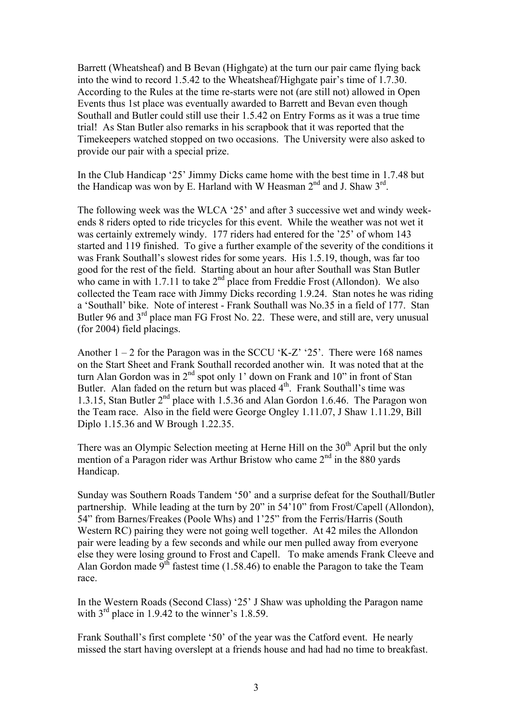Barrett (Wheatsheaf) and B Bevan (Highgate) at the turn our pair came flying back into the wind to record 1.5.42 to the Wheatsheaf/Highgate pair's time of 1.7.30. According to the Rules at the time re-starts were not (are still not) allowed in Open Events thus 1st place was eventually awarded to Barrett and Bevan even though Southall and Butler could still use their 1.5.42 on Entry Forms as it was a true time trial! As Stan Butler also remarks in his scrapbook that it was reported that the Timekeepers watched stopped on two occasions. The University were also asked to provide our pair with a special prize.

In the Club Handicap '25' Jimmy Dicks came home with the best time in 1.7.48 but the Handicap was won by E. Harland with W Heasman 2<sup>nd</sup> and J. Shaw 3<sup>rd</sup>.

The following week was the WLCA '25' and after 3 successive wet and windy weekends 8 riders opted to ride tricycles for this event. While the weather was not wet it was certainly extremely windy. 177 riders had entered for the '25' of whom 143 started and 119 finished. To give a further example of the severity of the conditions it was Frank Southall's slowest rides for some years. His 1.5.19, though, was far too good for the rest of the field. Starting about an hour after Southall was Stan Butler who came in with 1.7.11 to take  $2<sup>nd</sup>$  place from Freddie Frost (Allondon). We also collected the Team race with Jimmy Dicks recording 1.9.24. Stan notes he was riding a 'Southall' bike. Note of interest - Frank Southall was No.35 in a field of 177. Stan Butler 96 and 3<sup>rd</sup> place man FG Frost No. 22. These were, and still are, very unusual (for 2004) field placings.

Another  $1 - 2$  for the Paragon was in the SCCU 'K-Z' '25'. There were 168 names on the Start Sheet and Frank Southall recorded another win. It was noted that at the turn Alan Gordon was in  $2<sup>nd</sup>$  spot only 1' down on Frank and 10" in front of Stan Butler. Alan faded on the return but was placed  $4<sup>th</sup>$ . Frank Southall's time was 1.3.15, Stan Butler  $2<sup>nd</sup>$  place with 1.5.36 and Alan Gordon 1.6.46. The Paragon won the Team race. Also in the field were George Ongley 1.11.07, J Shaw 1.11.29, Bill Diplo 1.15.36 and W Brough 1.22.35.

There was an Olympic Selection meeting at Herne Hill on the 30<sup>th</sup> April but the only mention of a Paragon rider was Arthur Bristow who came 2<sup>nd</sup> in the 880 yards Handicap.

Sunday was Southern Roads Tandem '50' and a surprise defeat for the Southall/Butler partnership. While leading at the turn by 20" in 54'10" from Frost/Capell (Allondon), 54" from Barnes/Freakes (Poole Whs) and 1'25" from the Ferris/Harris (South Western RC) pairing they were not going well together. At 42 miles the Allondon pair were leading by a few seconds and while our men pulled away from everyone else they were losing ground to Frost and Capell. To make amends Frank Cleeve and Alan Gordon made 9<sup>th</sup> fastest time (1.58.46) to enable the Paragon to take the Team race.

In the Western Roads (Second Class) '25' J Shaw was upholding the Paragon name with  $3<sup>rd</sup>$  place in 1.9.42 to the winner's 1.8.59.

Frank Southall's first complete '50' of the year was the Catford event. He nearly missed the start having overslept at a friends house and had had no time to breakfast.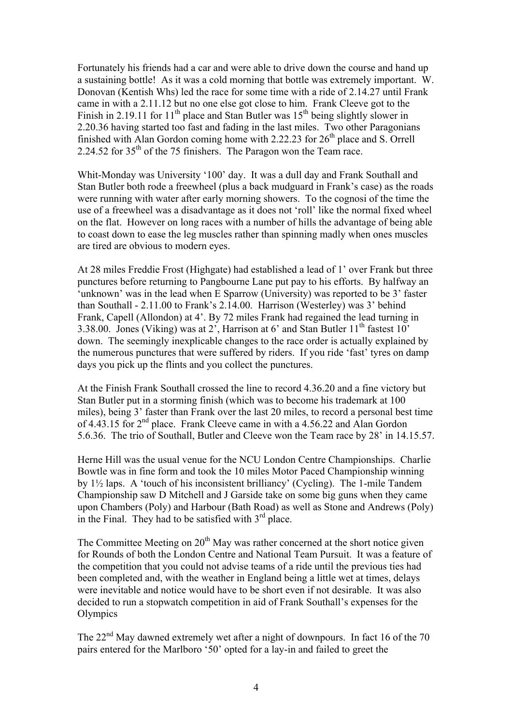Fortunately his friends had a car and were able to drive down the course and hand up a sustaining bottle! As it was a cold morning that bottle was extremely important. W. Donovan (Kentish Whs) led the race for some time with a ride of 2.14.27 until Frank came in with a 2.11.12 but no one else got close to him. Frank Cleeve got to the Finish in 2.19.11 for  $11<sup>th</sup>$  place and Stan Butler was  $15<sup>th</sup>$  being slightly slower in 2.20.36 having started too fast and fading in the last miles. Two other Paragonians finished with Alan Gordon coming home with  $2.22.23$  for  $26<sup>th</sup>$  place and S. Orrell 2.24.52 for  $35<sup>th</sup>$  of the 75 finishers. The Paragon won the Team race.

Whit-Monday was University '100' day. It was a dull day and Frank Southall and Stan Butler both rode a freewheel (plus a back mudguard in Frank's case) as the roads were running with water after early morning showers. To the cognosi of the time the use of a freewheel was a disadvantage as it does not 'roll' like the normal fixed wheel on the flat. However on long races with a number of hills the advantage of being able to coast down to ease the leg muscles rather than spinning madly when ones muscles are tired are obvious to modern eyes.

At 28 miles Freddie Frost (Highgate) had established a lead of 1' over Frank but three punctures before returning to Pangbourne Lane put pay to his efforts. By halfway an 'unknown' was in the lead when E Sparrow (University) was reported to be 3' faster than Southall - 2.11.00 to Frank's 2.14.00. Harrison (Westerley) was 3' behind Frank, Capell (Allondon) at 4'. By 72 miles Frank had regained the lead turning in 3.38.00. Jones (Viking) was at  $2^7$ , Harrison at 6' and Stan Butler 11<sup>th</sup> fastest 10' down. The seemingly inexplicable changes to the race order is actually explained by the numerous punctures that were suffered by riders. If you ride 'fast' tyres on damp days you pick up the flints and you collect the punctures.

At the Finish Frank Southall crossed the line to record 4.36.20 and a fine victory but Stan Butler put in a storming finish (which was to become his trademark at 100 miles), being 3' faster than Frank over the last 20 miles, to record a personal best time of 4.43.15 for 2<sup>nd</sup> place. Frank Cleeve came in with a 4.56.22 and Alan Gordon 5.6.36. The trio of Southall, Butler and Cleeve won the Team race by 28' in 14.15.57.

Herne Hill was the usual venue for the NCU London Centre Championships. Charlie Bowtle was in fine form and took the 10 miles Motor Paced Championship winning by 1½ laps. A 'touch of his inconsistent brilliancy' (Cycling). The 1-mile Tandem Championship saw D Mitchell and J Garside take on some big guns when they came upon Chambers (Poly) and Harbour (Bath Road) as well as Stone and Andrews (Poly) in the Final. They had to be satisfied with  $3<sup>rd</sup>$  place.

The Committee Meeting on  $20<sup>th</sup>$  May was rather concerned at the short notice given for Rounds of both the London Centre and National Team Pursuit. It was a feature of the competition that you could not advise teams of a ride until the previous ties had been completed and, with the weather in England being a little wet at times, delays were inevitable and notice would have to be short even if not desirable. It was also decided to run a stopwatch competition in aid of Frank Southall's expenses for the **Olympics** 

The  $22<sup>nd</sup>$  May dawned extremely wet after a night of downpours. In fact 16 of the 70 pairs entered for the Marlboro '50' opted for a lay-in and failed to greet the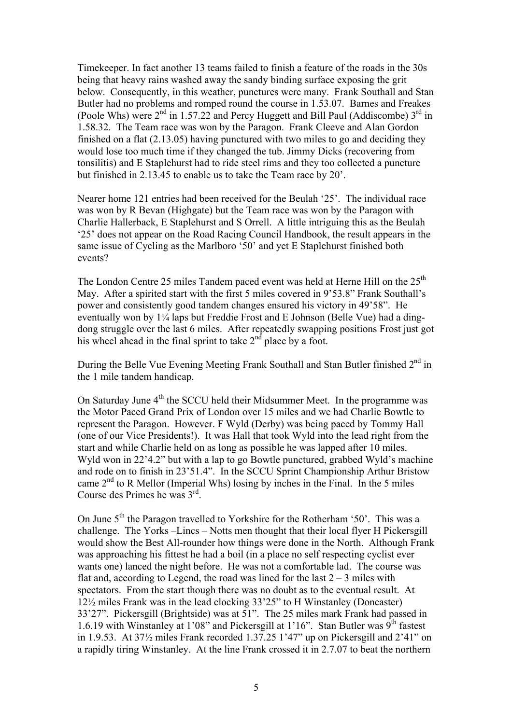Timekeeper. In fact another 13 teams failed to finish a feature of the roads in the 30s being that heavy rains washed away the sandy binding surface exposing the grit below. Consequently, in this weather, punctures were many. Frank Southall and Stan Butler had no problems and romped round the course in 1.53.07. Barnes and Freakes (Poole Whs) were  $2<sup>nd</sup>$  in 1.57.22 and Percy Huggett and Bill Paul (Addiscombe)  $3<sup>rd</sup>$  in 1.58.32. The Team race was won by the Paragon. Frank Cleeve and Alan Gordon finished on a flat (2.13.05) having punctured with two miles to go and deciding they would lose too much time if they changed the tub. Jimmy Dicks (recovering from tonsilitis) and E Staplehurst had to ride steel rims and they too collected a puncture but finished in 2.13.45 to enable us to take the Team race by 20'.

Nearer home 121 entries had been received for the Beulah '25'. The individual race was won by R Bevan (Highgate) but the Team race was won by the Paragon with Charlie Hallerback, E Staplehurst and S Orrell. A little intriguing this as the Beulah '25' does not appear on the Road Racing Council Handbook, the result appears in the same issue of Cycling as the Marlboro '50' and yet E Staplehurst finished both events?

The London Centre 25 miles Tandem paced event was held at Herne Hill on the  $25<sup>th</sup>$ May. After a spirited start with the first 5 miles covered in 9'53.8" Frank Southall's power and consistently good tandem changes ensured his victory in 49'58". He eventually won by 1¼ laps but Freddie Frost and E Johnson (Belle Vue) had a dingdong struggle over the last 6 miles. After repeatedly swapping positions Frost just got his wheel ahead in the final sprint to take  $2<sup>nd</sup>$  place by a foot.

During the Belle Vue Evening Meeting Frank Southall and Stan Butler finished 2<sup>nd</sup> in the 1 mile tandem handicap.

On Saturday June  $4<sup>th</sup>$  the SCCU held their Midsummer Meet. In the programme was the Motor Paced Grand Prix of London over 15 miles and we had Charlie Bowtle to represent the Paragon. However. F Wyld (Derby) was being paced by Tommy Hall (one of our Vice Presidents!). It was Hall that took Wyld into the lead right from the start and while Charlie held on as long as possible he was lapped after 10 miles. Wyld won in 22'4.2" but with a lap to go Bowtle punctured, grabbed Wyld's machine and rode on to finish in 23'51.4". In the SCCU Sprint Championship Arthur Bristow came  $2<sup>nd</sup>$  to R Mellor (Imperial Whs) losing by inches in the Final. In the 5 miles Course des Primes he was 3rd.

On June  $5<sup>th</sup>$  the Paragon travelled to Yorkshire for the Rotherham '50'. This was a challenge. The Yorks –Lincs – Notts men thought that their local flyer H Pickersgill would show the Best All-rounder how things were done in the North. Although Frank was approaching his fittest he had a boil (in a place no self respecting cyclist ever wants one) lanced the night before. He was not a comfortable lad. The course was flat and, according to Legend, the road was lined for the last  $2 - 3$  miles with spectators. From the start though there was no doubt as to the eventual result. At 12½ miles Frank was in the lead clocking 33'25" to H Winstanley (Doncaster) 33'27". Pickersgill (Brightside) was at 51". The 25 miles mark Frank had passed in 1.6.19 with Winstanley at 1'08" and Pickersgill at 1'16". Stan Butler was  $\tilde{9}^{th}$  fastest in 1.9.53. At 37½ miles Frank recorded 1.37.25 1'47" up on Pickersgill and 2'41" on a rapidly tiring Winstanley. At the line Frank crossed it in 2.7.07 to beat the northern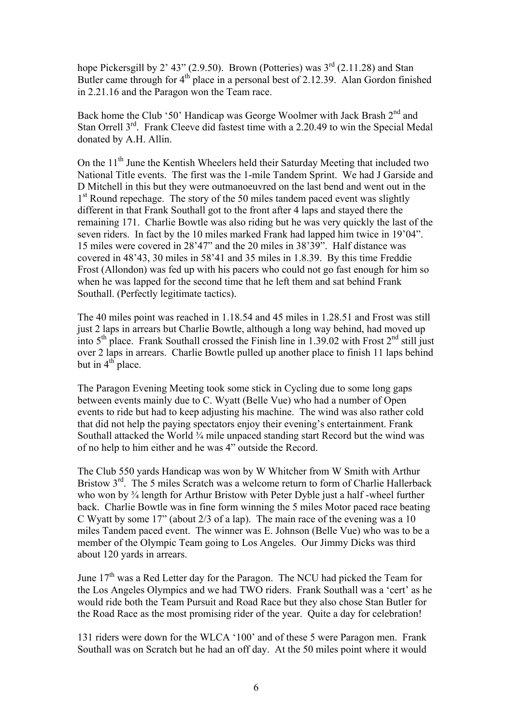hope Pickersgill by 2' 43" (2.9.50). Brown (Potteries) was  $3<sup>rd</sup>$  (2.11.28) and Stan Butler came through for  $4<sup>th</sup>$  place in a personal best of 2.12.39. Alan Gordon finished in 2.21.16 and the Paragon won the Team race.

Back home the Club '50' Handicap was George Woolmer with Jack Brash 2<sup>nd</sup> and Stan Orrell 3<sup>rd</sup>. Frank Cleeve did fastest time with a 2.20.49 to win the Special Medal donated by A.H. Allin.

On the  $11<sup>th</sup>$  June the Kentish Wheelers held their Saturday Meeting that included two National Title events. The first was the 1-mile Tandem Sprint. We had J Garside and D Mitchell in this but they were outmanoeuvred on the last bend and went out in the 1<sup>st</sup> Round repechage. The story of the 50 miles tandem paced event was slightly different in that Frank Southall got to the front after 4 laps and stayed there the remaining 171. Charlie Bowtle was also riding but he was very quickly the last of the seven riders. In fact by the 10 miles marked Frank had lapped him twice in 19'04". 15 miles were covered in 28'47" and the 20 miles in 38'39". Half distance was covered in 48'43, 30 miles in 58'41 and 35 miles in 1.8.39. By this time Freddie Frost (Allondon) was fed up with his pacers who could not go fast enough for him so when he was lapped for the second time that he left them and sat behind Frank Southall. (Perfectly legitimate tactics).

The 40 miles point was reached in 1.18.54 and 45 miles in 1.28.51 and Frost was still just 2 laps in arrears but Charlie Bowtle, although a long way behind, had moved up into  $5<sup>th</sup>$  place. Frank Southall crossed the Finish line in 1.39.02 with Frost  $2<sup>nd</sup>$  still just over 2 laps in arrears. Charlie Bowtle pulled up another place to finish 11 laps behind but in  $4<sup>th</sup>$  place.

The Paragon Evening Meeting took some stick in Cycling due to some long gaps between events mainly due to C. Wyatt (Belle Vue) who had a number of Open events to ride but had to keep adjusting his machine. The wind was also rather cold that did not help the paying spectators enjoy their evening's entertainment. Frank Southall attacked the World  $\frac{3}{4}$  mile unpaced standing start Record but the wind was of no help to him either and he was 4" outside the Record.

The Club 550 yards Handicap was won by W Whitcher from W Smith with Arthur Bristow 3<sup>rd</sup>. The 5 miles Scratch was a welcome return to form of Charlie Hallerback who won by <sup>3</sup>/<sub>4</sub> length for Arthur Bristow with Peter Dyble just a half-wheel further back. Charlie Bowtle was in fine form winning the 5 miles Motor paced race beating C Wyatt by some 17" (about 2/3 of a lap). The main race of the evening was a 10 miles Tandem paced event. The winner was E. Johnson (Belle Vue) who was to be a member of the Olympic Team going to Los Angeles. Our Jimmy Dicks was third about 120 yards in arrears.

June  $17<sup>th</sup>$  was a Red Letter day for the Paragon. The NCU had picked the Team for the Los Angeles Olympics and we had TWO riders. Frank Southall was a 'cert' as he would ride both the Team Pursuit and Road Race but they also chose Stan Butler for the Road Race as the most promising rider of the year. Quite a day for celebration!

131 riders were down for the WLCA '100' and of these 5 were Paragon men. Frank Southall was on Scratch but he had an off day. At the 50 miles point where it would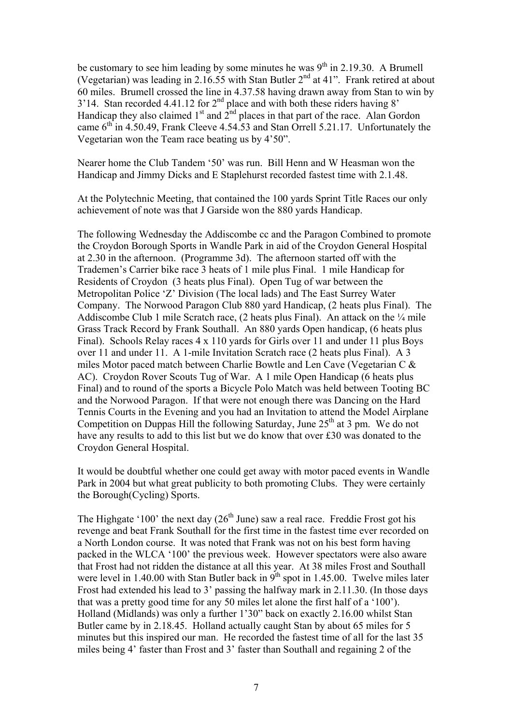be customary to see him leading by some minutes he was  $9<sup>th</sup>$  in 2.19.30. A Brumell (Vegetarian) was leading in 2.16.55 with Stan Butler  $2<sup>nd</sup>$  at 41". Frank retired at about 60 miles. Brumell crossed the line in 4.37.58 having drawn away from Stan to win by  $3'14$ . Stan recorded 4.41.12 for  $2<sup>nd</sup>$  place and with both these riders having 8' Handicap they also claimed  $1<sup>st</sup>$  and  $2<sup>nd</sup>$  places in that part of the race. Alan Gordon came  $6<sup>th</sup>$  in 4.50.49, Frank Cleeve 4.54.53 and Stan Orrell 5.21.17. Unfortunately the Vegetarian won the Team race beating us by 4'50".

Nearer home the Club Tandem '50' was run. Bill Henn and W Heasman won the Handicap and Jimmy Dicks and E Staplehurst recorded fastest time with 2.1.48.

At the Polytechnic Meeting, that contained the 100 yards Sprint Title Races our only achievement of note was that J Garside won the 880 yards Handicap.

The following Wednesday the Addiscombe cc and the Paragon Combined to promote the Croydon Borough Sports in Wandle Park in aid of the Croydon General Hospital at 2.30 in the afternoon. (Programme 3d). The afternoon started off with the Trademen's Carrier bike race 3 heats of 1 mile plus Final. 1 mile Handicap for Residents of Croydon (3 heats plus Final). Open Tug of war between the Metropolitan Police 'Z' Division (The local lads) and The East Surrey Water Company. The Norwood Paragon Club 880 yard Handicap, (2 heats plus Final). The Addiscombe Club 1 mile Scratch race,  $(2 \text{ heats plus Final})$ . An attack on the  $\frac{1}{4}$  mile Grass Track Record by Frank Southall. An 880 yards Open handicap, (6 heats plus Final). Schools Relay races 4 x 110 yards for Girls over 11 and under 11 plus Boys over 11 and under 11. A 1-mile Invitation Scratch race (2 heats plus Final). A 3 miles Motor paced match between Charlie Bowtle and Len Cave (Vegetarian C & AC). Croydon Rover Scouts Tug of War. A 1 mile Open Handicap (6 heats plus Final) and to round of the sports a Bicycle Polo Match was held between Tooting BC and the Norwood Paragon. If that were not enough there was Dancing on the Hard Tennis Courts in the Evening and you had an Invitation to attend the Model Airplane Competition on Duppas Hill the following Saturday, June  $25<sup>th</sup>$  at 3 pm. We do not have any results to add to this list but we do know that over £30 was donated to the Croydon General Hospital.

It would be doubtful whether one could get away with motor paced events in Wandle Park in 2004 but what great publicity to both promoting Clubs. They were certainly the Borough(Cycling) Sports.

The Highgate '100' the next day  $(26<sup>th</sup>$  June) saw a real race. Freddie Frost got his revenge and beat Frank Southall for the first time in the fastest time ever recorded on a North London course. It was noted that Frank was not on his best form having packed in the WLCA '100' the previous week. However spectators were also aware that Frost had not ridden the distance at all this year. At 38 miles Frost and Southall were level in 1.40.00 with Stan Butler back in  $9<sup>th</sup>$  spot in 1.45.00. Twelve miles later Frost had extended his lead to 3' passing the halfway mark in 2.11.30. (In those days that was a pretty good time for any 50 miles let alone the first half of a '100'). Holland (Midlands) was only a further 1'30" back on exactly 2.16.00 whilst Stan Butler came by in 2.18.45. Holland actually caught Stan by about 65 miles for 5 minutes but this inspired our man. He recorded the fastest time of all for the last 35 miles being 4' faster than Frost and 3' faster than Southall and regaining 2 of the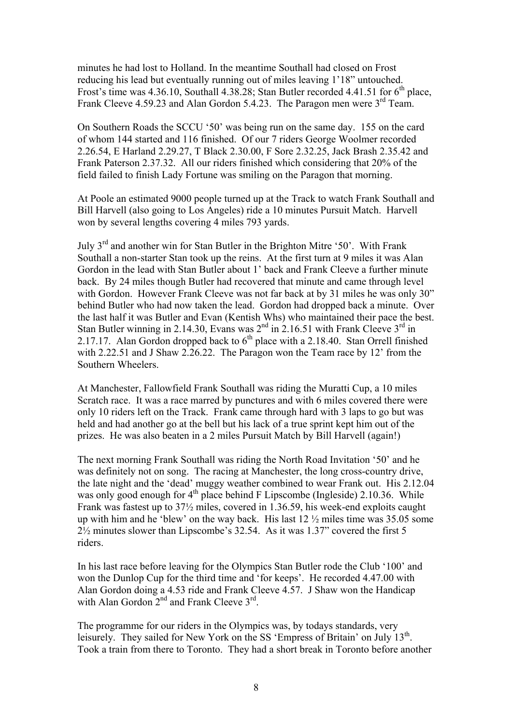minutes he had lost to Holland. In the meantime Southall had closed on Frost reducing his lead but eventually running out of miles leaving 1'18" untouched. Frost's time was  $4.36.10$ , Southall  $4.38.28$ ; Stan Butler recorded  $4.41.51$  for  $6<sup>th</sup>$  place, Frank Cleeve 4.59.23 and Alan Gordon 5.4.23. The Paragon men were 3<sup>rd</sup> Team.

On Southern Roads the SCCU '50' was being run on the same day. 155 on the card of whom 144 started and 116 finished. Of our 7 riders George Woolmer recorded 2.26.54, E Harland 2.29.27, T Black 2.30.00, F Sore 2.32.25, Jack Brash 2.35.42 and Frank Paterson 2.37.32. All our riders finished which considering that 20% of the field failed to finish Lady Fortune was smiling on the Paragon that morning.

At Poole an estimated 9000 people turned up at the Track to watch Frank Southall and Bill Harvell (also going to Los Angeles) ride a 10 minutes Pursuit Match. Harvell won by several lengths covering 4 miles 793 yards.

July 3rd and another win for Stan Butler in the Brighton Mitre '50'. With Frank Southall a non-starter Stan took up the reins. At the first turn at 9 miles it was Alan Gordon in the lead with Stan Butler about 1' back and Frank Cleeve a further minute back. By 24 miles though Butler had recovered that minute and came through level with Gordon. However Frank Cleeve was not far back at by 31 miles he was only 30" behind Butler who had now taken the lead. Gordon had dropped back a minute. Over the last half it was Butler and Evan (Kentish Whs) who maintained their pace the best. Stan Butler winning in 2.14.30, Evans was 2<sup>nd</sup> in 2.16.51 with Frank Cleeve 3<sup>rd</sup> in 2.17.17. Alan Gordon dropped back to  $6<sup>th</sup>$  place with a 2.18.40. Stan Orrell finished with 2.22.51 and J Shaw 2.26.22. The Paragon won the Team race by 12' from the Southern Wheelers.

At Manchester, Fallowfield Frank Southall was riding the Muratti Cup, a 10 miles Scratch race. It was a race marred by punctures and with 6 miles covered there were only 10 riders left on the Track. Frank came through hard with 3 laps to go but was held and had another go at the bell but his lack of a true sprint kept him out of the prizes. He was also beaten in a 2 miles Pursuit Match by Bill Harvell (again!)

The next morning Frank Southall was riding the North Road Invitation '50' and he was definitely not on song. The racing at Manchester, the long cross-country drive, the late night and the 'dead' muggy weather combined to wear Frank out. His 2.12.04 was only good enough for  $4<sup>th</sup>$  place behind F Lipscombe (Ingleside) 2.10.36. While Frank was fastest up to 37½ miles, covered in 1.36.59, his week-end exploits caught up with him and he 'blew' on the way back. His last 12 ½ miles time was 35.05 some 2½ minutes slower than Lipscombe's 32.54. As it was 1.37" covered the first 5 riders.

In his last race before leaving for the Olympics Stan Butler rode the Club '100' and won the Dunlop Cup for the third time and 'for keeps'. He recorded 4.47.00 with Alan Gordon doing a 4.53 ride and Frank Cleeve 4.57. J Shaw won the Handicap with Alan Gordon  $2^{nd}$  and Frank Cleeve  $3^{rd}$ .

The programme for our riders in the Olympics was, by todays standards, very leisurely. They sailed for New York on the SS 'Empress of Britain' on July 13<sup>th</sup>. Took a train from there to Toronto. They had a short break in Toronto before another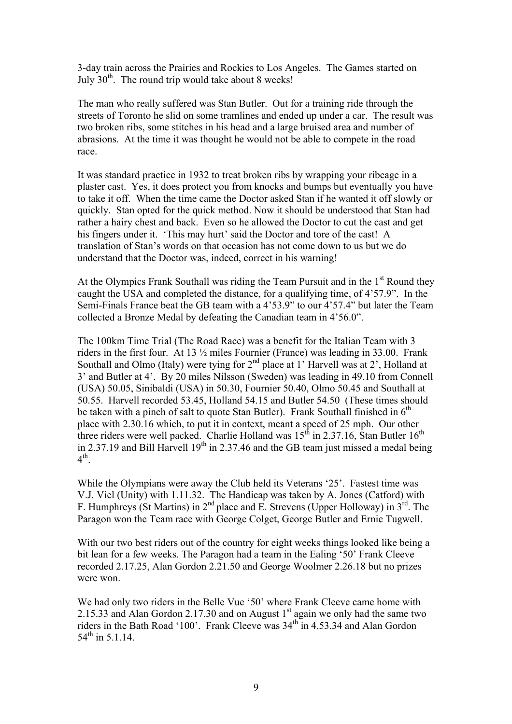3-day train across the Prairies and Rockies to Los Angeles. The Games started on July  $30<sup>th</sup>$ . The round trip would take about 8 weeks!

The man who really suffered was Stan Butler. Out for a training ride through the streets of Toronto he slid on some tramlines and ended up under a car. The result was two broken ribs, some stitches in his head and a large bruised area and number of abrasions. At the time it was thought he would not be able to compete in the road race.

It was standard practice in 1932 to treat broken ribs by wrapping your ribcage in a plaster cast. Yes, it does protect you from knocks and bumps but eventually you have to take it off. When the time came the Doctor asked Stan if he wanted it off slowly or quickly. Stan opted for the quick method. Now it should be understood that Stan had rather a hairy chest and back. Even so he allowed the Doctor to cut the cast and get his fingers under it. 'This may hurt' said the Doctor and tore of the cast! A translation of Stan's words on that occasion has not come down to us but we do understand that the Doctor was, indeed, correct in his warning!

At the Olympics Frank Southall was riding the Team Pursuit and in the 1<sup>st</sup> Round they caught the USA and completed the distance, for a qualifying time, of 4'57.9". In the Semi-Finals France beat the GB team with a 4'53.9" to our 4'57.4" but later the Team collected a Bronze Medal by defeating the Canadian team in 4'56.0".

The 100km Time Trial (The Road Race) was a benefit for the Italian Team with 3 riders in the first four. At 13 ½ miles Fournier (France) was leading in 33.00. Frank Southall and Olmo (Italy) were tying for 2<sup>nd</sup> place at 1' Harvell was at 2', Holland at 3' and Butler at 4'. By 20 miles Nilsson (Sweden) was leading in 49.10 from Connell (USA) 50.05, Sinibaldi (USA) in 50.30, Fournier 50.40, Olmo 50.45 and Southall at 50.55. Harvell recorded 53.45, Holland 54.15 and Butler 54.50 (These times should be taken with a pinch of salt to quote Stan Butler). Frank Southall finished in  $6<sup>th</sup>$ place with 2.30.16 which, to put it in context, meant a speed of 25 mph. Our other three riders were well packed. Charlie Holland was  $15<sup>th</sup>$  in 2.37.16, Stan Butler  $16<sup>th</sup>$ in 2.37.19 and Bill Harvell  $19<sup>th</sup>$  in 2.37.46 and the GB team just missed a medal being  $4<sup>th</sup>$ .

While the Olympians were away the Club held its Veterans '25'. Fastest time was V.J. Viel (Unity) with 1.11.32. The Handicap was taken by A. Jones (Catford) with F. Humphreys (St Martins) in  $2^{nd}$  place and E. Strevens (Upper Holloway) in  $3^{rd}$ . The Paragon won the Team race with George Colget, George Butler and Ernie Tugwell.

With our two best riders out of the country for eight weeks things looked like being a bit lean for a few weeks. The Paragon had a team in the Ealing '50' Frank Cleeve recorded 2.17.25, Alan Gordon 2.21.50 and George Woolmer 2.26.18 but no prizes were won.

We had only two riders in the Belle Vue '50' where Frank Cleeve came home with 2.15.33 and Alan Gordon 2.17.30 and on August  $1<sup>st</sup>$  again we only had the same two riders in the Bath Road '100'. Frank Cleeve was  $34<sup>th</sup>$  in 4.53.34 and Alan Gordon  $54<sup>th</sup>$  in 5.1.14.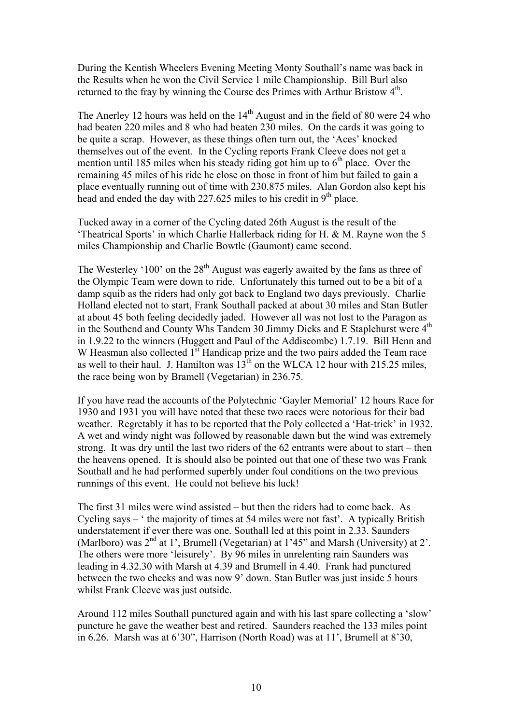During the Kentish Wheelers Evening Meeting Monty Southall's name was back in the Results when he won the Civil Service 1 mile Championship. Bill Burl also returned to the fray by winning the Course des Primes with Arthur Bristow  $4<sup>th</sup>$ .

The Anerley 12 hours was held on the  $14<sup>th</sup>$  August and in the field of 80 were 24 who had beaten 220 miles and 8 who had beaten 230 miles. On the cards it was going to be quite a scrap. However, as these things often turn out, the 'Aces' knocked themselves out of the event. In the Cycling reports Frank Cleeve does not get a mention until 185 miles when his steady riding got him up to  $6<sup>th</sup>$  place. Over the remaining 45 miles of his ride he close on those in front of him but failed to gain a place eventually running out of time with 230.875 miles. Alan Gordon also kept his head and ended the day with  $227.625$  miles to his credit in 9<sup>th</sup> place.

Tucked away in a corner of the Cycling dated 26th August is the result of the 'Theatrical Sports' in which Charlie Hallerback riding for H. & M. Rayne won the 5 miles Championship and Charlie Bowtle (Gaumont) came second.

The Westerley '100' on the  $28<sup>th</sup>$  August was eagerly awaited by the fans as three of the Olympic Team were down to ride. Unfortunately this turned out to be a bit of a damp squib as the riders had only got back to England two days previously. Charlie Holland elected not to start, Frank Southall packed at about 30 miles and Stan Butler at about 45 both feeling decidedly jaded. However all was not lost to the Paragon as in the Southend and County Whs Tandem 30 Jimmy Dicks and E Staplehurst were 4<sup>th</sup> in 1.9.22 to the winners (Huggett and Paul of the Addiscombe) 1.7.19. Bill Henn and W Heasman also collected 1<sup>st</sup> Handicap prize and the two pairs added the Team race as well to their haul. J. Hamilton was  $13<sup>th</sup>$  on the WLCA 12 hour with 215.25 miles, the race being won by Bramell (Vegetarian) in 236.75.

If you have read the accounts of the Polytechnic 'Gayler Memorial' 12 hours Race for 1930 and 1931 you will have noted that these two races were notorious for their bad weather. Regretably it has to be reported that the Poly collected a 'Hat-trick' in 1932. A wet and windy night was followed by reasonable dawn but the wind was extremely strong. It was dry until the last two riders of the 62 entrants were about to start – then the heavens opened. It is should also be pointed out that one of these two was Frank Southall and he had performed superbly under foul conditions on the two previous runnings of this event. He could not believe his luck!

The first 31 miles were wind assisted – but then the riders had to come back. As Cycling says – ' the majority of times at 54 miles were not fast'. A typically British understatement if ever there was one. Southall led at this point in 2.33. Saunders (Marlboro) was  $2<sup>nd</sup>$  at 1', Brumell (Vegetarian) at 1'45" and Marsh (University) at 2'. The others were more 'leisurely'. By 96 miles in unrelenting rain Saunders was leading in 4.32.30 with Marsh at 4.39 and Brumell in 4.40. Frank had punctured between the two checks and was now 9' down. Stan Butler was just inside 5 hours whilst Frank Cleeve was just outside.

Around 112 miles Southall punctured again and with his last spare collecting a 'slow' puncture he gave the weather best and retired. Saunders reached the 133 miles point in 6.26. Marsh was at 6'30", Harrison (North Road) was at 11', Brumell at 8'30,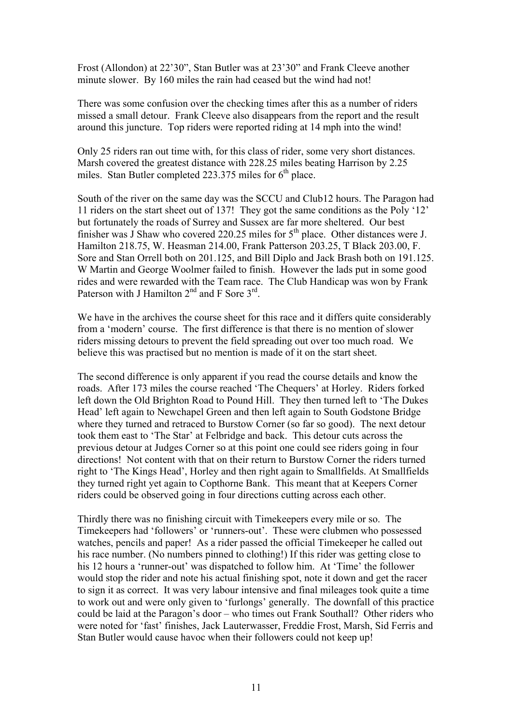Frost (Allondon) at 22'30", Stan Butler was at 23'30" and Frank Cleeve another minute slower. By 160 miles the rain had ceased but the wind had not!

There was some confusion over the checking times after this as a number of riders missed a small detour. Frank Cleeve also disappears from the report and the result around this juncture. Top riders were reported riding at 14 mph into the wind!

Only 25 riders ran out time with, for this class of rider, some very short distances. Marsh covered the greatest distance with 228.25 miles beating Harrison by 2.25 miles. Stan Butler completed 223.375 miles for  $6<sup>th</sup>$  place.

South of the river on the same day was the SCCU and Club12 hours. The Paragon had 11 riders on the start sheet out of 137! They got the same conditions as the Poly '12' but fortunately the roads of Surrey and Sussex are far more sheltered. Our best finisher was J Shaw who covered 220.25 miles for  $5<sup>th</sup>$  place. Other distances were J. Hamilton 218.75, W. Heasman 214.00, Frank Patterson 203.25, T Black 203.00, F. Sore and Stan Orrell both on 201.125, and Bill Diplo and Jack Brash both on 191.125. W Martin and George Woolmer failed to finish. However the lads put in some good rides and were rewarded with the Team race. The Club Handicap was won by Frank Paterson with J Hamilton  $2<sup>nd</sup>$  and F Sore  $3<sup>rd</sup>$ .

We have in the archives the course sheet for this race and it differs quite considerably from a 'modern' course. The first difference is that there is no mention of slower riders missing detours to prevent the field spreading out over too much road. We believe this was practised but no mention is made of it on the start sheet.

The second difference is only apparent if you read the course details and know the roads. After 173 miles the course reached 'The Chequers' at Horley. Riders forked left down the Old Brighton Road to Pound Hill. They then turned left to 'The Dukes Head' left again to Newchapel Green and then left again to South Godstone Bridge where they turned and retraced to Burstow Corner (so far so good). The next detour took them east to 'The Star' at Felbridge and back. This detour cuts across the previous detour at Judges Corner so at this point one could see riders going in four directions! Not content with that on their return to Burstow Corner the riders turned right to 'The Kings Head', Horley and then right again to Smallfields. At Smallfields they turned right yet again to Copthorne Bank. This meant that at Keepers Corner riders could be observed going in four directions cutting across each other.

Thirdly there was no finishing circuit with Timekeepers every mile or so. The Timekeepers had 'followers' or 'runners-out'. These were clubmen who possessed watches, pencils and paper! As a rider passed the official Timekeeper he called out his race number. (No numbers pinned to clothing!) If this rider was getting close to his 12 hours a 'runner-out' was dispatched to follow him. At 'Time' the follower would stop the rider and note his actual finishing spot, note it down and get the racer to sign it as correct. It was very labour intensive and final mileages took quite a time to work out and were only given to 'furlongs' generally. The downfall of this practice could be laid at the Paragon's door – who times out Frank Southall? Other riders who were noted for 'fast' finishes, Jack Lauterwasser, Freddie Frost, Marsh, Sid Ferris and Stan Butler would cause havoc when their followers could not keep up!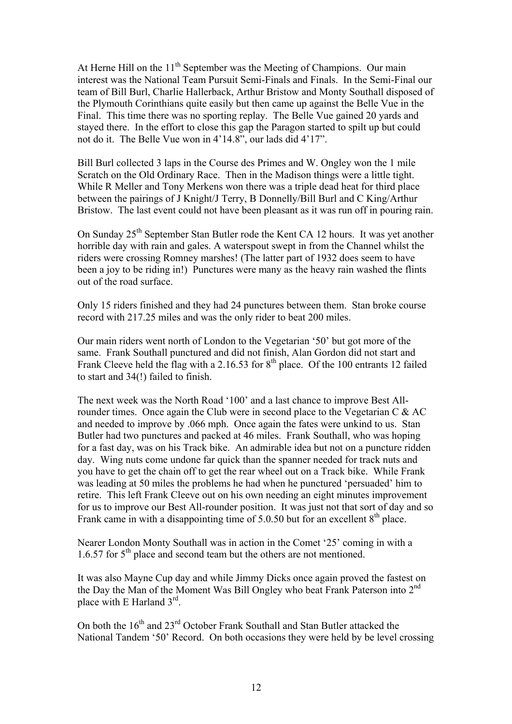At Herne Hill on the  $11<sup>th</sup>$  September was the Meeting of Champions. Our main interest was the National Team Pursuit Semi-Finals and Finals. In the Semi-Final our team of Bill Burl, Charlie Hallerback, Arthur Bristow and Monty Southall disposed of the Plymouth Corinthians quite easily but then came up against the Belle Vue in the Final. This time there was no sporting replay. The Belle Vue gained 20 yards and stayed there. In the effort to close this gap the Paragon started to spilt up but could not do it. The Belle Vue won in 4'14.8", our lads did 4'17".

Bill Burl collected 3 laps in the Course des Primes and W. Ongley won the 1 mile Scratch on the Old Ordinary Race. Then in the Madison things were a little tight. While R Meller and Tony Merkens won there was a triple dead heat for third place between the pairings of J Knight/J Terry, B Donnelly/Bill Burl and C King/Arthur Bristow. The last event could not have been pleasant as it was run off in pouring rain.

On Sunday 25<sup>th</sup> September Stan Butler rode the Kent CA 12 hours. It was yet another horrible day with rain and gales. A waterspout swept in from the Channel whilst the riders were crossing Romney marshes! (The latter part of 1932 does seem to have been a joy to be riding in!) Punctures were many as the heavy rain washed the flints out of the road surface.

Only 15 riders finished and they had 24 punctures between them. Stan broke course record with 217.25 miles and was the only rider to beat 200 miles.

Our main riders went north of London to the Vegetarian '50' but got more of the same. Frank Southall punctured and did not finish, Alan Gordon did not start and Frank Cleeve held the flag with a 2.16.53 for  $8<sup>th</sup>$  place. Of the 100 entrants 12 failed to start and 34(!) failed to finish.

The next week was the North Road '100' and a last chance to improve Best Allrounder times. Once again the Club were in second place to the Vegetarian C & AC and needed to improve by .066 mph. Once again the fates were unkind to us. Stan Butler had two punctures and packed at 46 miles. Frank Southall, who was hoping for a fast day, was on his Track bike. An admirable idea but not on a puncture ridden day. Wing nuts come undone far quick than the spanner needed for track nuts and you have to get the chain off to get the rear wheel out on a Track bike. While Frank was leading at 50 miles the problems he had when he punctured 'persuaded' him to retire. This left Frank Cleeve out on his own needing an eight minutes improvement for us to improve our Best All-rounder position. It was just not that sort of day and so Frank came in with a disappointing time of  $5.0.50$  but for an excellent  $8<sup>th</sup>$  place.

Nearer London Monty Southall was in action in the Comet '25' coming in with a 1.6.57 for  $5<sup>th</sup>$  place and second team but the others are not mentioned.

It was also Mayne Cup day and while Jimmy Dicks once again proved the fastest on the Day the Man of the Moment Was Bill Ongley who beat Frank Paterson into  $2<sup>nd</sup>$ place with E Harland  $3<sup>rd</sup>$ .

On both the 16<sup>th</sup> and 23<sup>rd</sup> October Frank Southall and Stan Butler attacked the National Tandem '50' Record. On both occasions they were held by be level crossing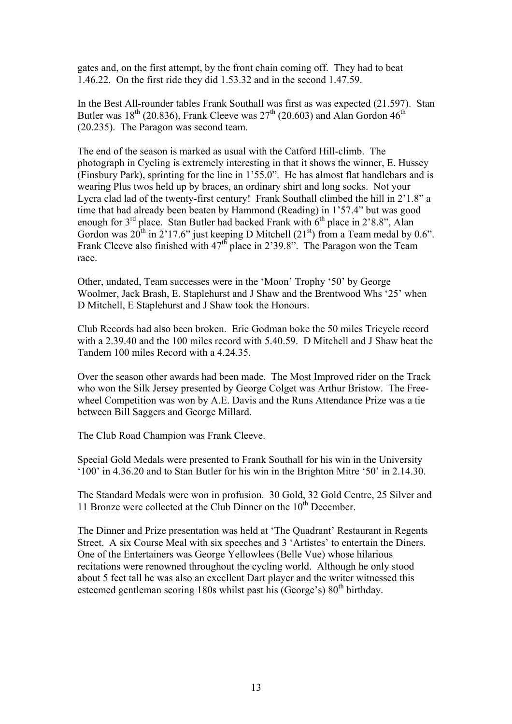gates and, on the first attempt, by the front chain coming off. They had to beat 1.46.22. On the first ride they did 1.53.32 and in the second 1.47.59.

In the Best All-rounder tables Frank Southall was first as was expected (21.597). Stan Butler was  $18^{th}$  (20.836), Frank Cleeve was  $27^{th}$  (20.603) and Alan Gordon  $46^{th}$ (20.235). The Paragon was second team.

The end of the season is marked as usual with the Catford Hill-climb. The photograph in Cycling is extremely interesting in that it shows the winner, E. Hussey (Finsbury Park), sprinting for the line in 1'55.0". He has almost flat handlebars and is wearing Plus twos held up by braces, an ordinary shirt and long socks. Not your Lycra clad lad of the twenty-first century! Frank Southall climbed the hill in 2'1.8" a time that had already been beaten by Hammond (Reading) in 1'57.4" but was good enough for  $3<sup>rd</sup>$  place. Stan Butler had backed Frank with  $6<sup>th</sup>$  place in 2'8.8", Alan Gordon was  $20^{th}$  in  $2'17.6''$  just keeping D Mitchell  $(21^{st})$  from a Team medal by 0.6". Frank Cleeve also finished with  $47<sup>th</sup>$  place in 2'39.8". The Paragon won the Team race.

Other, undated, Team successes were in the 'Moon' Trophy '50' by George Woolmer, Jack Brash, E. Staplehurst and J Shaw and the Brentwood Whs '25' when D Mitchell, E Staplehurst and J Shaw took the Honours.

Club Records had also been broken. Eric Godman boke the 50 miles Tricycle record with a 2.39.40 and the 100 miles record with 5.40.59. D Mitchell and J Shaw beat the Tandem 100 miles Record with a 4.24.35

Over the season other awards had been made. The Most Improved rider on the Track who won the Silk Jersey presented by George Colget was Arthur Bristow. The Freewheel Competition was won by A.E. Davis and the Runs Attendance Prize was a tie between Bill Saggers and George Millard.

The Club Road Champion was Frank Cleeve.

Special Gold Medals were presented to Frank Southall for his win in the University '100' in 4.36.20 and to Stan Butler for his win in the Brighton Mitre '50' in 2.14.30.

The Standard Medals were won in profusion. 30 Gold, 32 Gold Centre, 25 Silver and 11 Bronze were collected at the Club Dinner on the  $10<sup>th</sup>$  December.

The Dinner and Prize presentation was held at 'The Quadrant' Restaurant in Regents Street. A six Course Meal with six speeches and 3 'Artistes' to entertain the Diners. One of the Entertainers was George Yellowlees (Belle Vue) whose hilarious recitations were renowned throughout the cycling world. Although he only stood about 5 feet tall he was also an excellent Dart player and the writer witnessed this esteemed gentleman scoring 180s whilst past his (George's) 80<sup>th</sup> birthday.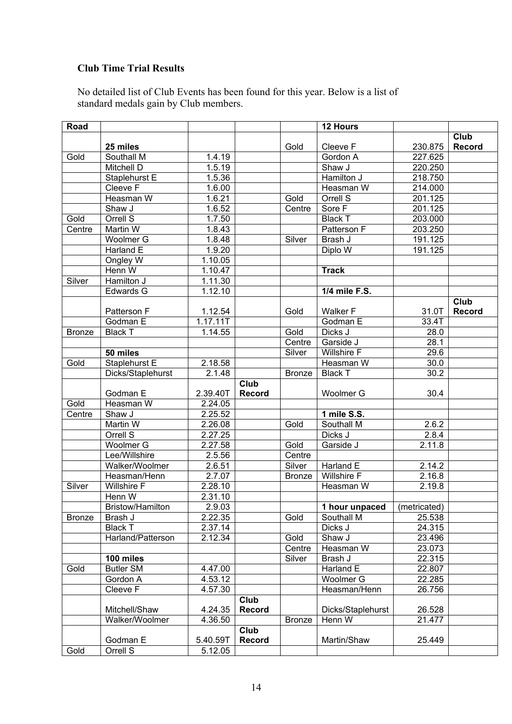## **Club Time Trial Results**

No detailed list of Club Events has been found for this year. Below is a list of standard medals gain by Club members.

| Road          |                         |          |               |               | 12 Hours          |              |               |
|---------------|-------------------------|----------|---------------|---------------|-------------------|--------------|---------------|
|               |                         |          |               |               |                   |              | Club          |
|               | 25 miles                |          |               | Gold          | Cleeve F          | 230.875      | Record        |
| Gold          | Southall M              | 1.4.19   |               |               | Gordon A          | 227.625      |               |
|               | Mitchell D              | 1.5.19   |               |               | Shaw J            | 220.250      |               |
|               | Staplehurst E           | 1.5.36   |               |               | Hamilton J        | 218.750      |               |
|               | Cleeve F                | 1.6.00   |               |               | Heasman W         | 214.000      |               |
|               | Heasman W               | 1.6.21   |               | Gold          | Orrell S          | 201.125      |               |
|               | Shaw J                  | 1.6.52   |               | Centre        | Sore F            | 201.125      |               |
| Gold          | Orrell S                | 1.7.50   |               |               | <b>Black T</b>    | 203.000      |               |
| Centre        | Martin W                | 1.8.43   |               |               | Patterson F       | 203.250      |               |
|               | Woolmer G               | 1.8.48   |               | Silver        | Brash J           | 191.125      |               |
|               | Harland E               | 1.9.20   |               |               | Diplo W           | 191.125      |               |
|               | Ongley W                | 1.10.05  |               |               |                   |              |               |
|               | Henn W                  | 1.10.47  |               |               | <b>Track</b>      |              |               |
| Silver        | Hamilton J              | 1.11.30  |               |               |                   |              |               |
|               | Edwards G               | 1.12.10  |               |               | 1/4 mile F.S.     |              |               |
|               |                         |          |               |               |                   |              | Club          |
|               | Patterson F             | 1.12.54  |               | Gold          | <b>Walker F</b>   | 31.0T        | <b>Record</b> |
|               | Godman E                | 1.17.11T |               |               | Godman E          | 33.4T        |               |
| <b>Bronze</b> | <b>Black T</b>          | 1.14.55  |               | Gold          | Dicks J           | 28.0         |               |
|               |                         |          |               | Centre        | Garside J         | 28.1         |               |
|               | 50 miles                |          |               | Silver        | Willshire F       | 29.6         |               |
| Gold          | Staplehurst E           | 2.18.58  |               |               | Heasman W         | 30.0         |               |
|               | Dicks/Staplehurst       | 2.1.48   |               | <b>Bronze</b> | <b>Black T</b>    | 30.2         |               |
|               |                         |          | Club          |               |                   |              |               |
|               | Godman E                | 2.39.40T | <b>Record</b> |               | Woolmer G         | 30.4         |               |
| Gold          | Heasman W               | 2.24.05  |               |               |                   |              |               |
| Centre        | Shaw J                  | 2.25.52  |               |               | 1 mile S.S.       |              |               |
|               | Martin W                | 2.26.08  |               | Gold          | Southall M        | 2.6.2        |               |
|               | Orrell S                | 2.27.25  |               |               | Dicks J           | 2.8.4        |               |
|               | Woolmer <sub>G</sub>    | 2.27.58  |               | Gold          | Garside J         | 2.11.8       |               |
|               | Lee/Willshire           | 2.5.56   |               | Centre        |                   |              |               |
|               | Walker/Woolmer          | 2.6.51   |               | Silver        | Harland E         | 2.14.2       |               |
|               | Heasman/Henn            | 2.7.07   |               | <b>Bronze</b> | Willshire F       | 2.16.8       |               |
| Silver        | Willshire F             | 2.28.10  |               |               | Heasman W         | 2.19.8       |               |
|               | Henn W                  | 2.31.10  |               |               |                   |              |               |
|               | <b>Bristow/Hamilton</b> | 2.9.03   |               |               | 1 hour unpaced    | (metricated) |               |
| <b>Bronze</b> | Brash J                 | 2.22.35  |               | Gold          | Southall M        | 25.538       |               |
|               | <b>Black T</b>          | 2.37.14  |               |               | Dicks J           | 24.315       |               |
|               | Harland/Patterson       | 2.12.34  |               | Gold          | Shaw J            | 23.496       |               |
|               |                         |          |               | Centre        | Heasman W         | 23.073       |               |
|               | 100 miles               |          |               | Silver        | Brash J           | 22.315       |               |
| Gold          | <b>Butler SM</b>        | 4.47.00  |               |               | Harland E         | 22.807       |               |
|               | Gordon A                | 4.53.12  |               |               | Woolmer G         | 22.285       |               |
|               | Cleeve F                | 4.57.30  |               |               | Heasman/Henn      | 26.756       |               |
|               |                         |          | Club          |               |                   |              |               |
|               | Mitchell/Shaw           | 4.24.35  | <b>Record</b> |               | Dicks/Staplehurst | 26.528       |               |
|               | Walker/Woolmer          | 4.36.50  |               | <b>Bronze</b> | Henn W            | 21.477       |               |
|               |                         |          | Club          |               |                   |              |               |
|               | Godman E                | 5.40.59T | <b>Record</b> |               | Martin/Shaw       | 25.449       |               |
| Gold          | Orrell S                | 5.12.05  |               |               |                   |              |               |